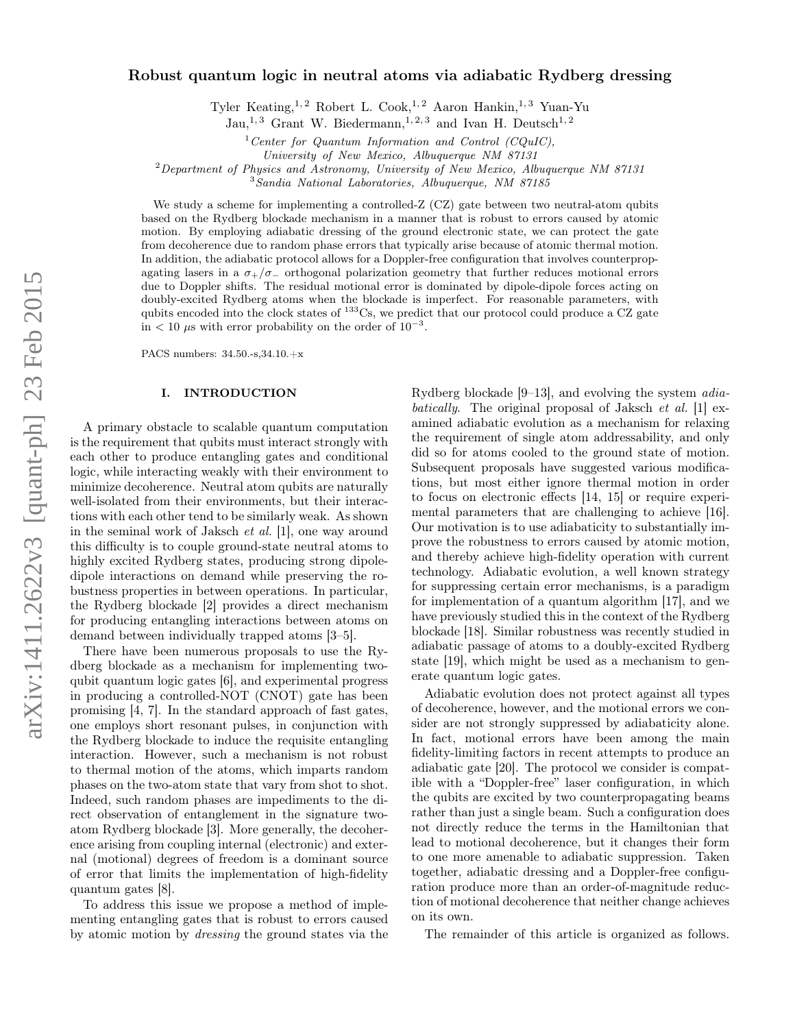# Robust quantum logic in neutral atoms via adiabatic Rydberg dressing

Tyler Keating,<sup>1,2</sup> Robert L. Cook,<sup>1,2</sup> Aaron Hankin,<sup>1,3</sup> Yuan-Yu

Jau,<sup>1,3</sup> Grant W. Biedermann,<sup>1,2,3</sup> and Ivan H. Deutsch<sup>1,2</sup>

<sup>1</sup> Center for Quantum Information and Control (CQuIC),

University of New Mexico, Albuquerque NM 87131

<sup>2</sup>Department of Physics and Astronomy, University of New Mexico, Albuquerque NM 87131

<sup>3</sup>Sandia National Laboratories, Albuquerque, NM 87185

We study a scheme for implementing a controlled-Z (CZ) gate between two neutral-atom qubits based on the Rydberg blockade mechanism in a manner that is robust to errors caused by atomic motion. By employing adiabatic dressing of the ground electronic state, we can protect the gate from decoherence due to random phase errors that typically arise because of atomic thermal motion. In addition, the adiabatic protocol allows for a Doppler-free configuration that involves counterpropagating lasers in a  $\sigma_{+}/\sigma_{-}$  orthogonal polarization geometry that further reduces motional errors due to Doppler shifts. The residual motional error is dominated by dipole-dipole forces acting on doubly-excited Rydberg atoms when the blockade is imperfect. For reasonable parameters, with qubits encoded into the clock states of <sup>133</sup>Cs, we predict that our protocol could produce a CZ gate  $\sin$  < 10  $\mu$ s with error probability on the order of 10<sup>-3</sup>.

PACS numbers: 34.50.-s,34.10.+x

# I. INTRODUCTION

A primary obstacle to scalable quantum computation is the requirement that qubits must interact strongly with each other to produce entangling gates and conditional logic, while interacting weakly with their environment to minimize decoherence. Neutral atom qubits are naturally well-isolated from their environments, but their interactions with each other tend to be similarly weak. As shown in the seminal work of Jaksch et al. [\[1\]](#page-8-0), one way around this difficulty is to couple ground-state neutral atoms to highly excited Rydberg states, producing strong dipoledipole interactions on demand while preserving the robustness properties in between operations. In particular, the Rydberg blockade [\[2\]](#page-8-1) provides a direct mechanism for producing entangling interactions between atoms on demand between individually trapped atoms [\[3](#page-8-2)[–5\]](#page-8-3).

There have been numerous proposals to use the Rydberg blockade as a mechanism for implementing twoqubit quantum logic gates [\[6\]](#page-8-4), and experimental progress in producing a controlled-NOT (CNOT) gate has been promising [\[4,](#page-8-5) [7\]](#page-8-6). In the standard approach of fast gates, one employs short resonant pulses, in conjunction with the Rydberg blockade to induce the requisite entangling interaction. However, such a mechanism is not robust to thermal motion of the atoms, which imparts random phases on the two-atom state that vary from shot to shot. Indeed, such random phases are impediments to the direct observation of entanglement in the signature twoatom Rydberg blockade [\[3\]](#page-8-2). More generally, the decoherence arising from coupling internal (electronic) and external (motional) degrees of freedom is a dominant source of error that limits the implementation of high-fidelity quantum gates [\[8\]](#page-8-7).

To address this issue we propose a method of implementing entangling gates that is robust to errors caused by atomic motion by dressing the ground states via the

Rydberg blockade [\[9](#page-8-8)[–13\]](#page-8-9), and evolving the system adiabatically. The original proposal of Jaksch *et al.* [\[1\]](#page-8-0) examined adiabatic evolution as a mechanism for relaxing the requirement of single atom addressability, and only did so for atoms cooled to the ground state of motion. Subsequent proposals have suggested various modifications, but most either ignore thermal motion in order to focus on electronic effects [\[14,](#page-8-10) [15\]](#page-8-11) or require experimental parameters that are challenging to achieve [\[16\]](#page-8-12). Our motivation is to use adiabaticity to substantially improve the robustness to errors caused by atomic motion, and thereby achieve high-fidelity operation with current technology. Adiabatic evolution, a well known strategy for suppressing certain error mechanisms, is a paradigm for implementation of a quantum algorithm [\[17\]](#page-8-13), and we have previously studied this in the context of the Rydberg blockade [\[18\]](#page-8-14). Similar robustness was recently studied in adiabatic passage of atoms to a doubly-excited Rydberg state [\[19\]](#page-8-15), which might be used as a mechanism to generate quantum logic gates.

Adiabatic evolution does not protect against all types of decoherence, however, and the motional errors we consider are not strongly suppressed by adiabaticity alone. In fact, motional errors have been among the main fidelity-limiting factors in recent attempts to produce an adiabatic gate [\[20\]](#page-8-16). The protocol we consider is compatible with a "Doppler-free" laser configuration, in which the qubits are excited by two counterpropagating beams rather than just a single beam. Such a configuration does not directly reduce the terms in the Hamiltonian that lead to motional decoherence, but it changes their form to one more amenable to adiabatic suppression. Taken together, adiabatic dressing and a Doppler-free configuration produce more than an order-of-magnitude reduction of motional decoherence that neither change achieves on its own.

The remainder of this article is organized as follows.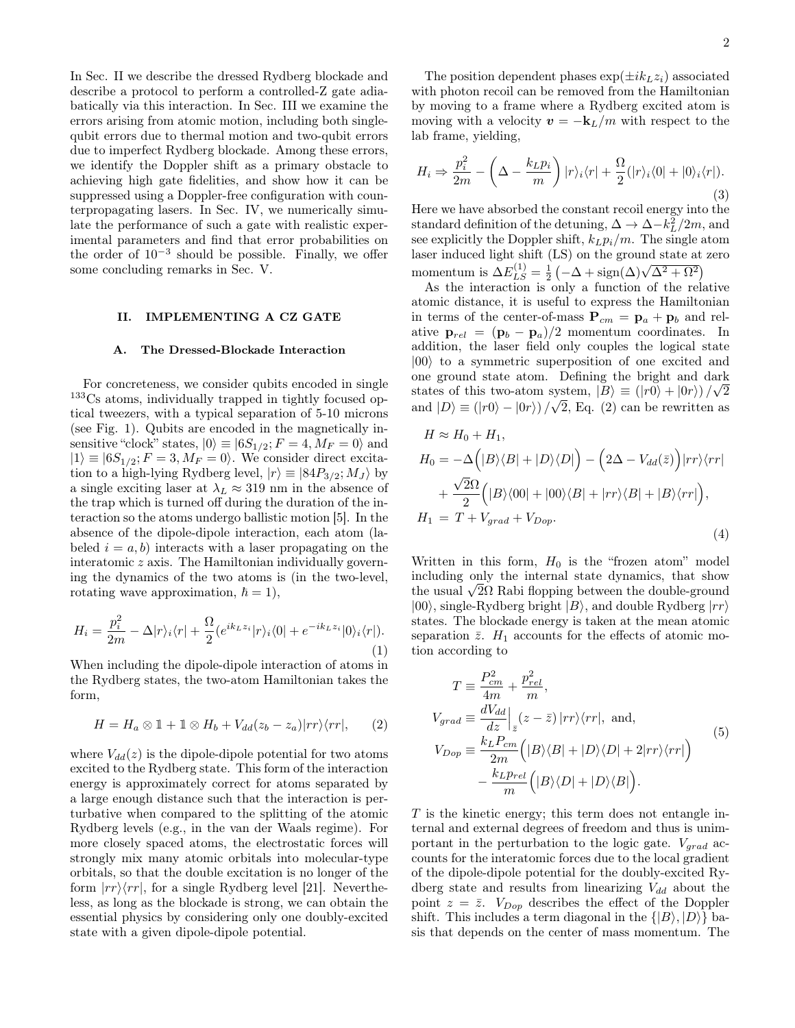In Sec. II we describe the dressed Rydberg blockade and describe a protocol to perform a controlled-Z gate adiabatically via this interaction. In Sec. III we examine the errors arising from atomic motion, including both singlequbit errors due to thermal motion and two-qubit errors due to imperfect Rydberg blockade. Among these errors, we identify the Doppler shift as a primary obstacle to achieving high gate fidelities, and show how it can be suppressed using a Doppler-free configuration with counterpropagating lasers. In Sec. IV, we numerically simulate the performance of such a gate with realistic experimental parameters and find that error probabilities on the order of  $10^{-3}$  should be possible. Finally, we offer some concluding remarks in Sec. V.

#### II. IMPLEMENTING A CZ GATE

### A. The Dressed-Blockade Interaction

For concreteness, we consider qubits encoded in single <sup>133</sup>Cs atoms, individually trapped in tightly focused optical tweezers, with a typical separation of 5-10 microns (see Fig. 1). Qubits are encoded in the magnetically insensitive "clock" states,  $|0\rangle \equiv |6S_{1/2}; F = 4, M_F = 0\rangle$  and  $|1\rangle \equiv |6S_{1/2}; F = 3, M_F = 0\rangle$ . We consider direct excitation to a high-lying Rydberg level,  $|r\rangle \equiv |84P_{3/2}; M_J\rangle$  by a single exciting laser at  $\lambda_L \approx 319$  nm in the absence of the trap which is turned off during the duration of the interaction so the atoms undergo ballistic motion [\[5\]](#page-8-3). In the absence of the dipole-dipole interaction, each atom (labeled  $i = a, b$ ) interacts with a laser propagating on the interatomic z axis. The Hamiltonian individually governing the dynamics of the two atoms is (in the two-level, rotating wave approximation,  $\hbar = 1$ ,

<span id="page-1-3"></span>
$$
H_i = \frac{p_i^2}{2m} - \Delta |r\rangle_i \langle r| + \frac{\Omega}{2} (e^{ik_L z_i} |r\rangle_i \langle 0| + e^{-ik_L z_i} |0\rangle_i \langle r|).
$$
\n(1)

When including the dipole-dipole interaction of atoms in the Rydberg states, the two-atom Hamiltonian takes the form,

<span id="page-1-0"></span>
$$
H = H_a \otimes 1 + 1 \otimes H_b + V_{dd}(z_b - z_a)|rr\rangle\langle rr|, \qquad (2)
$$

where  $V_{dd}(z)$  is the dipole-dipole potential for two atoms excited to the Rydberg state. This form of the interaction energy is approximately correct for atoms separated by a large enough distance such that the interaction is perturbative when compared to the splitting of the atomic Rydberg levels (e.g., in the van der Waals regime). For more closely spaced atoms, the electrostatic forces will strongly mix many atomic orbitals into molecular-type orbitals, so that the double excitation is no longer of the form  $|rr\rangle\langle rr|$ , for a single Rydberg level [\[21\]](#page-8-17). Nevertheless, as long as the blockade is strong, we can obtain the essential physics by considering only one doubly-excited state with a given dipole-dipole potential.

The position dependent phases  $\exp(\pm i k_L z_i)$  associated with photon recoil can be removed from the Hamiltonian by moving to a frame where a Rydberg excited atom is moving with a velocity  $v = -k_L/m$  with respect to the lab frame, yielding,

$$
H_i \Rightarrow \frac{p_i^2}{2m} - \left(\Delta - \frac{k_L p_i}{m}\right)|r\rangle_i\langle r| + \frac{\Omega}{2}(|r\rangle_i\langle 0| + |0\rangle_i\langle r|).\tag{3}
$$

Here we have absorbed the constant recoil energy into the standard definition of the detuning,  $\Delta \to \Delta - k_L^2/2m$ , and see explicitly the Doppler shift,  $k_L p_i/m$ . The single atom laser induced light shift (LS) on the ground state at zero momentum is  $\Delta E_{LS}^{(1)} = \frac{1}{2} \left( -\Delta + \text{sign}(\Delta) \sqrt{\Delta^2 + \Omega^2} \right)$ 

As the interaction is only a function of the relative atomic distance, it is useful to express the Hamiltonian in terms of the center-of-mass  ${\bf P}_{cm} = {\bf p}_a + {\bf p}_b$  and relative  $\mathbf{p}_{rel} = (\mathbf{p}_b - \mathbf{p}_a)/2$  momentum coordinates. In addition, the laser field only couples the logical state  $|00\rangle$  to a symmetric superposition of one excited and one ground state atom. Defining the bright and dark √ states of this two-atom system,  $|B\rangle \equiv (|r0\rangle + |0r\rangle)/\sqrt{2}$ and  $|D\rangle \equiv (|r0\rangle - |0r\rangle)/\sqrt{2}$ , Eq. [\(2\)](#page-1-0) can be rewritten as

<span id="page-1-1"></span>
$$
H \approx H_0 + H_1,
$$
  
\n
$$
H_0 = -\Delta \left( |B\rangle\langle B| + |D\rangle\langle D| \right) - \left( 2\Delta - V_{dd}(\bar{z}) \right) |rr\rangle\langle rr|
$$
  
\n
$$
+ \frac{\sqrt{2}\Omega}{2} \left( |B\rangle\langle 00| + |00\rangle\langle B| + |rr\rangle\langle B| + |B\rangle\langle rr| \right),
$$
  
\n
$$
H_1 = T + V_{grad} + V_{Dop}.
$$
\n(4)

Written in this form,  $H_0$  is the "frozen atom" model including only the internal state dynamics, that show mcluding only the internal state dynamics, that show<br>the usual  $\sqrt{2}\Omega$  Rabi flopping between the double-ground  $|00\rangle$ , single-Rydberg bright  $|B\rangle$ , and double Rydberg  $|rr\rangle$ states. The blockade energy is taken at the mean atomic separation  $\bar{z}$ .  $H_1$  accounts for the effects of atomic motion according to

<span id="page-1-2"></span>
$$
T \equiv \frac{P_{cm}^2}{4m} + \frac{p_{rel}^2}{m},
$$
  
\n
$$
V_{grad} \equiv \frac{dV_{dd}}{dz} \Big|_{z} (z - \bar{z}) |rr\rangle \langle rr|, \text{ and},
$$
  
\n
$$
V_{Dop} \equiv \frac{k_L P_{cm}}{2m} (|B\rangle\langle B| + |D\rangle\langle D| + 2|rr\rangle\langle rr|)
$$
  
\n
$$
- \frac{k_L P_{rel}}{m} (|B\rangle\langle D| + |D\rangle\langle B|).
$$
\n(5)

 $T$  is the kinetic energy; this term does not entangle internal and external degrees of freedom and thus is unimportant in the perturbation to the logic gate.  $V_{grad}$  accounts for the interatomic forces due to the local gradient of the dipole-dipole potential for the doubly-excited Rydberg state and results from linearizing  $V_{dd}$  about the point  $z = \bar{z}$ .  $V_{Dop}$  describes the effect of the Doppler shift. This includes a term diagonal in the  $\{|B\rangle, |D\rangle\}$  basis that depends on the center of mass momentum. The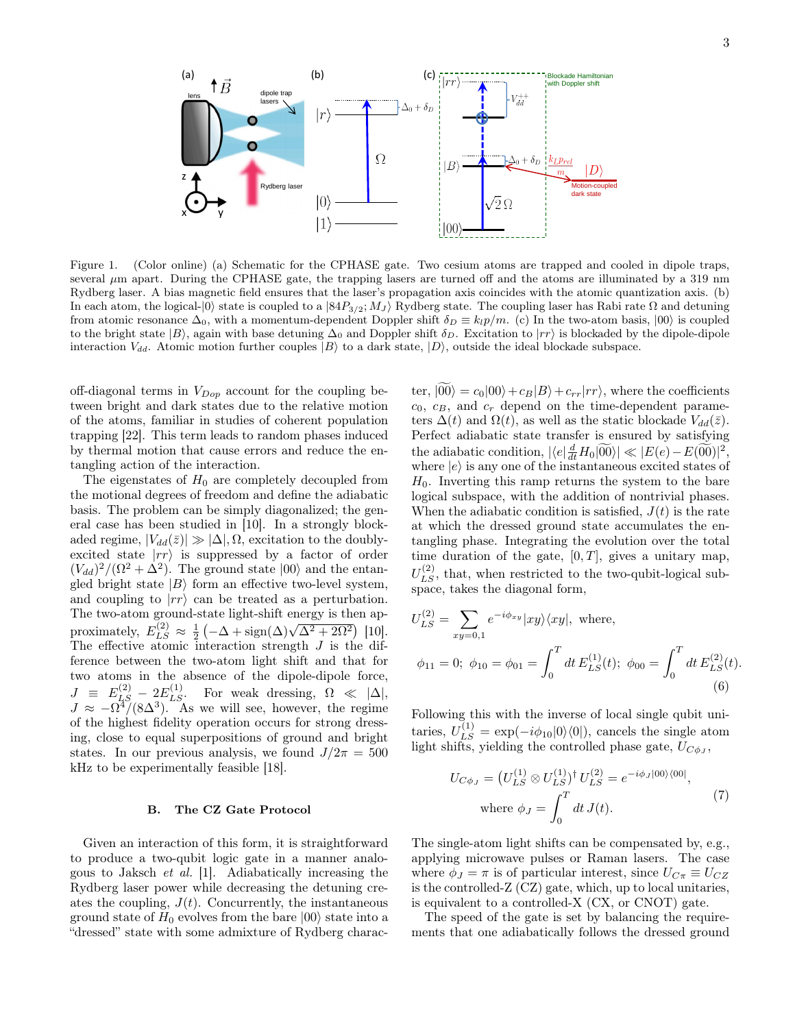

<span id="page-2-0"></span>Figure 1. (Color online) (a) Schematic for the CPHASE gate. Two cesium atoms are trapped and cooled in dipole traps, several  $\mu$ m apart. During the CPHASE gate, the trapping lasers are turned off and the atoms are illuminated by a 319 nm Rydberg laser. A bias magnetic field ensures that the laser's propagation axis coincides with the atomic quantization axis. (b) In each atom, the logical- $|0\rangle$  state is coupled to a  $|84P_{3/2}; M_J\rangle$  Rydberg state. The coupling laser has Rabi rate  $\Omega$  and detuning from atomic resonance  $\Delta_0$ , with a momentum-dependent Doppler shift  $\delta_D \equiv k_l p/m$ . (c) In the two-atom basis,  $|00\rangle$  is coupled to the bright state  $|B\rangle$ , again with base detuning  $\Delta_0$  and Doppler shift  $\delta_D$ . Excitation to  $|rr\rangle$  is blockaded by the dipole-dipole interaction  $V_{dd}$ . Atomic motion further couples  $|B\rangle$  to a dark state,  $|D\rangle$ , outside the ideal blockade subspace.

off-diagonal terms in  $V_{Dop}$  account for the coupling between bright and dark states due to the relative motion of the atoms, familiar in studies of coherent population trapping [\[22\]](#page-8-18). This term leads to random phases induced by thermal motion that cause errors and reduce the entangling action of the interaction.

The eigenstates of  $H_0$  are completely decoupled from the motional degrees of freedom and define the adiabatic basis. The problem can be simply diagonalized; the general case has been studied in [\[10\]](#page-8-19). In a strongly blockaded regime,  $|V_{dd}(\bar{z})| \gg |\Delta|, \Omega$ , excitation to the doublyexcited state  $|rr\rangle$  is suppressed by a factor of order  $(V_{dd})^2/(\Omega^2 + \Delta^2)$ . The ground state  $|00\rangle$  and the entangled bright state  $|B\rangle$  form an effective two-level system, and coupling to  $|rr\rangle$  can be treated as a perturbation. The two-atom ground-state light-shift energy is then ap-The two-atom ground-state ngm-smit energy is then approximately,  $E_{LS}^{(2)} \approx \frac{1}{2} \left( -\Delta + \text{sign}(\Delta) \sqrt{\Delta^2 + 2\Omega^2} \right)$  [\[10\]](#page-8-19). The effective atomic interaction strength  $J$  is the difference between the two-atom light shift and that for two atoms in the absence of the dipole-dipole force,  $J \equiv E_{LS}^{(2)} - 2E_{LS}^{(1)}$ . For weak dressing,  $\Omega \ll |\Delta|$ ,  $J \approx -\Omega^4/(8\Delta^3)$ . As we will see, however, the regime of the highest fidelity operation occurs for strong dressing, close to equal superpositions of ground and bright states. In our previous analysis, we found  $J/2\pi = 500$ kHz to be experimentally feasible [\[18\]](#page-8-14).

### B. The CZ Gate Protocol

Given an interaction of this form, it is straightforward to produce a two-qubit logic gate in a manner analogous to Jaksch et al. [\[1\]](#page-8-0). Adiabatically increasing the Rydberg laser power while decreasing the detuning creates the coupling,  $J(t)$ . Concurrently, the instantaneous ground state of  $H_0$  evolves from the bare  $|00\rangle$  state into a "dressed" state with some admixture of Rydberg charac-

ter,  $|00\rangle = c_0|00\rangle + c_B|B\rangle + c_{rr}|rr\rangle$ , where the coefficients  $c_0, c_B,$  and  $c_r$  depend on the time-dependent parameters  $\Delta(t)$  and  $\Omega(t)$ , as well as the static blockade  $V_{dd}(\bar{z})$ . Perfect adiabatic state transfer is ensured by satisfying the adiabatic condition,  $| \langle e | \frac{d}{dt} H_0 | \widetilde{00} \rangle | \ll | E(e) - E(\widetilde{00}) |^2$ where  $|e\rangle$  is any one of the instantaneous excited states of  $H_0$ . Inverting this ramp returns the system to the bare logical subspace, with the addition of nontrivial phases. When the adiabatic condition is satisfied,  $J(t)$  is the rate at which the dressed ground state accumulates the entangling phase. Integrating the evolution over the total time duration of the gate,  $[0, T]$ , gives a unitary map,  $U_{LS}^{(2)}$ , that, when restricted to the two-qubit-logical subspace, takes the diagonal form,

$$
U_{LS}^{(2)} = \sum_{xy=0,1} e^{-i\phi_{xy}} |xy\rangle\langle xy|, \text{ where,}
$$
  

$$
\phi_{11} = 0; \ \phi_{10} = \phi_{01} = \int_0^T dt \, E_{LS}^{(1)}(t); \ \phi_{00} = \int_0^T dt \, E_{LS}^{(2)}(t).
$$
  
(6)

Following this with the inverse of local single qubit unitaries,  $U_{LS}^{(1)} = \exp(-i\phi_{10}|0\rangle\langle0|)$ , cancels the single atom light shifts, yielding the controlled phase gate,  $U_{C\phi_J}$ ,

$$
U_{C\phi_J} = (U_{LS}^{(1)} \otimes U_{LS}^{(1)})^{\dagger} U_{LS}^{(2)} = e^{-i\phi_J|00\rangle\langle00|},
$$
  
where  $\phi_J = \int_0^T dt J(t).$  (7)

The single-atom light shifts can be compensated by, e.g., applying microwave pulses or Raman lasers. The case where  $\phi_J = \pi$  is of particular interest, since  $U_{C\pi} \equiv U_{CZ}$ is the controlled-Z (CZ) gate, which, up to local unitaries, is equivalent to a controlled-X (CX, or CNOT) gate.

The speed of the gate is set by balancing the requirements that one adiabatically follows the dressed ground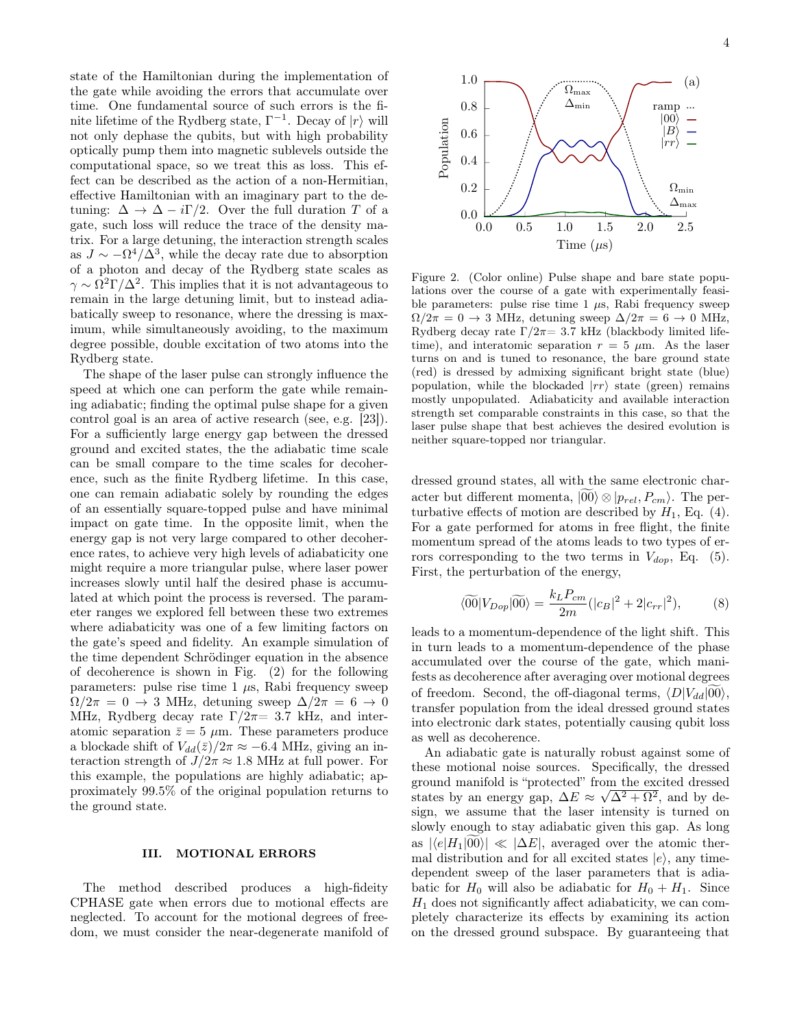state of the Hamiltonian during the implementation of the gate while avoiding the errors that accumulate over time. One fundamental source of such errors is the finite lifetime of the Rydberg state,  $\Gamma^{-1}$ . Decay of  $|r\rangle$  will not only dephase the qubits, but with high probability optically pump them into magnetic sublevels outside the computational space, so we treat this as loss. This effect can be described as the action of a non-Hermitian, effective Hamiltonian with an imaginary part to the detuning:  $\Delta \rightarrow \Delta - i\Gamma/2$ . Over the full duration T of a gate, such loss will reduce the trace of the density matrix. For a large detuning, the interaction strength scales as  $J \sim -\Omega^4/\Delta^3$ , while the decay rate due to absorption of a photon and decay of the Rydberg state scales as  $\gamma \sim \Omega^2 \Gamma / \Delta^2$ . This implies that it is not advantageous to remain in the large detuning limit, but to instead adiabatically sweep to resonance, where the dressing is maximum, while simultaneously avoiding, to the maximum degree possible, double excitation of two atoms into the Rydberg state.

The shape of the laser pulse can strongly influence the speed at which one can perform the gate while remaining adiabatic; finding the optimal pulse shape for a given control goal is an area of active research (see, e.g. [\[23\]](#page-8-20)). For a sufficiently large energy gap between the dressed ground and excited states, the the adiabatic time scale can be small compare to the time scales for decoherence, such as the finite Rydberg lifetime. In this case, one can remain adiabatic solely by rounding the edges of an essentially square-topped pulse and have minimal impact on gate time. In the opposite limit, when the energy gap is not very large compared to other decoherence rates, to achieve very high levels of adiabaticity one might require a more triangular pulse, where laser power increases slowly until half the desired phase is accumulated at which point the process is reversed. The parameter ranges we explored fell between these two extremes where adiabaticity was one of a few limiting factors on the gate's speed and fidelity. An example simulation of the time dependent Schrödinger equation in the absence of decoherence is shown in Fig. [\(2\)](#page-3-0) for the following parameters: pulse rise time  $1 \mu s$ , Rabi frequency sweep  $\Omega/2\pi = 0 \rightarrow 3$  MHz, detuning sweep  $\Delta/2\pi = 6 \rightarrow 0$ MHz, Rydberg decay rate  $\Gamma/2\pi=3.7$  kHz, and interatomic separation  $\bar{z} = 5 \mu \text{m}$ . These parameters produce a blockade shift of  $V_{dd}(\bar{z})/2\pi \approx -6.4$  MHz, giving an interaction strength of  $J/2\pi \approx 1.8$  MHz at full power. For this example, the populations are highly adiabatic; approximately 99.5% of the original population returns to the ground state.

The method described produces a high-fideity CPHASE gate when errors due to motional effects are neglected. To account for the motional degrees of freedom, we must consider the near-degenerate manifold of



<span id="page-3-0"></span>Figure 2. (Color online) Pulse shape and bare state populations over the course of a gate with experimentally feasible parameters: pulse rise time  $1 \mu s$ , Rabi frequency sweep  $\Omega/2\pi = 0 \rightarrow 3$  MHz, detuning sweep  $\Delta/2\pi = 6 \rightarrow 0$  MHz, Rydberg decay rate  $\Gamma/2\pi=3.7$  kHz (blackbody limited lifetime), and interatomic separation  $r = 5 \mu m$ . As the laser turns on and is tuned to resonance, the bare ground state (red) is dressed by admixing significant bright state (blue) population, while the blockaded  $|rr\rangle$  state (green) remains mostly unpopulated. Adiabaticity and available interaction strength set comparable constraints in this case, so that the laser pulse shape that best achieves the desired evolution is neither square-topped nor triangular.

dressed ground states, all with the same electronic character but different momenta,  $|00\rangle \otimes |p_{rel}, P_{cm}\rangle$ . The perturbative effects of motion are described by  $H_1$ , Eq. [\(4\)](#page-1-1). For a gate performed for atoms in free flight, the finite momentum spread of the atoms leads to two types of errors corresponding to the two terms in  $V_{dop}$ , Eq. [\(5\)](#page-1-2). First, the perturbation of the energy,

<span id="page-3-1"></span>
$$
\langle \widetilde{00} | V_{Dop} | \widetilde{00} \rangle = \frac{k_L P_{cm}}{2m} (|c_B|^2 + 2|c_{rr}|^2), \tag{8}
$$

leads to a momentum-dependence of the light shift. This in turn leads to a momentum-dependence of the phase accumulated over the course of the gate, which manifests as decoherence after averaging over motional degrees of freedom. Second, the off-diagonal terms,  $\langle D|V_{dd}|00\rangle$ , transfer population from the ideal dressed ground states into electronic dark states, potentially causing qubit loss as well as decoherence.

An adiabatic gate is naturally robust against some of these motional noise sources. Specifically, the dressed ground manifold is "protected" from the excited dressed states by an energy gap,  $\Delta E \approx \sqrt{\Delta^2 + \Omega^2}$ , and by design, we assume that the laser intensity is turned on slowly enough to stay adiabatic given this gap. As long as  $|\langle e|H_1|00\rangle| \ll |\Delta E|$ , averaged over the atomic thermal distribution and for all excited states  $|e\rangle$ , any timedependent sweep of the laser parameters that is adiabatic for  $H_0$  will also be adiabatic for  $H_0 + H_1$ . Since  $H_1$  does not significantly affect adiabaticity, we can completely characterize its effects by examining its action on the dressed ground subspace. By guaranteeing that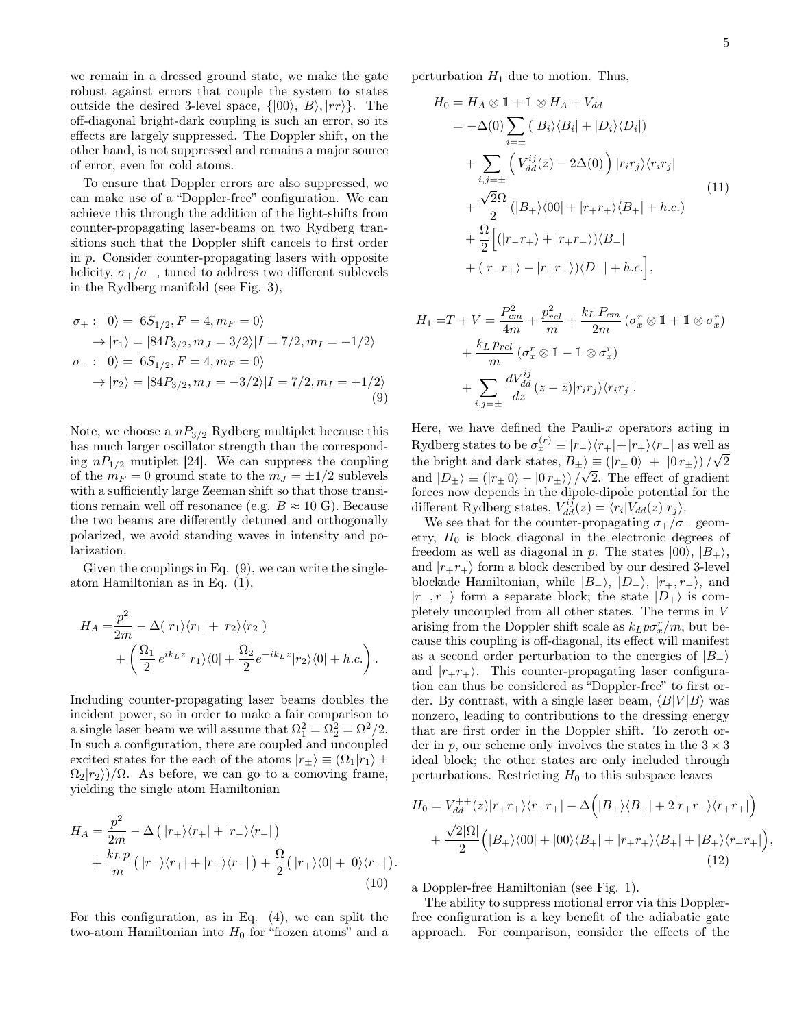we remain in a dressed ground state, we make the gate robust against errors that couple the system to states outside the desired 3-level space,  $\{|00\rangle, |B\rangle, |rr\rangle\}$ . The off-diagonal bright-dark coupling is such an error, so its effects are largely suppressed. The Doppler shift, on the other hand, is not suppressed and remains a major source of error, even for cold atoms.

To ensure that Doppler errors are also suppressed, we can make use of a "Doppler-free" configuration. We can achieve this through the addition of the light-shifts from counter-propagating laser-beams on two Rydberg transitions such that the Doppler shift cancels to first order in p. Consider counter-propagating lasers with opposite helicity,  $\sigma_{+}/\sigma_{-}$ , tuned to address two different sublevels in the Rydberg manifold (see Fig. [3\)](#page-5-0),

<span id="page-4-0"></span>
$$
\sigma_{+}: |0\rangle = |6S_{1/2}, F = 4, m_{F} = 0\rangle
$$
  
\n
$$
\rightarrow |r_{1}\rangle = |84P_{3/2}, m_{J} = 3/2\rangle |I = 7/2, m_{I} = -1/2\rangle
$$
  
\n
$$
\sigma_{-}: |0\rangle = |6S_{1/2}, F = 4, m_{F} = 0\rangle
$$
  
\n
$$
\rightarrow |r_{2}\rangle = |84P_{3/2}, m_{J} = -3/2\rangle |I = 7/2, m_{I} = +1/2\rangle
$$
  
\n(9)

Note, we choose a  $nP_{3/2}$  Rydberg multiplet because this has much larger oscillator strength than the corresponding  $nP_{1/2}$  mutiplet [\[24\]](#page-8-21). We can suppress the coupling of the  $m_F = 0$  ground state to the  $m_J = \pm 1/2$  sublevels with a sufficiently large Zeeman shift so that those transitions remain well off resonance (e.g.  $B \approx 10 \text{ G}$ ). Because the two beams are differently detuned and orthogonally polarized, we avoid standing waves in intensity and polarization.

Given the couplings in Eq.  $(9)$ , we can write the singleatom Hamiltonian as in Eq. [\(1\)](#page-1-3),

<span id="page-4-1"></span>
$$
H_A = \frac{p^2}{2m} - \Delta(|r_1\rangle\langle r_1| + |r_2\rangle\langle r_2|)
$$
  
+ 
$$
\left(\frac{\Omega_1}{2} e^{ik_L z} |r_1\rangle\langle 0| + \frac{\Omega_2}{2} e^{-ik_L z} |r_2\rangle\langle 0| + h.c.\right).
$$

Including counter-propagating laser beams doubles the incident power, so in order to make a fair comparison to a single laser beam we will assume that  $\Omega_1^2 = \Omega_2^2 = \Omega^2/2$ . In such a configuration, there are coupled and uncoupled excited states for the each of the atoms  $|r_{+}\rangle \equiv (\Omega_1|r_1\rangle \pm$  $\Omega_2|r_2\rangle/\Omega$ . As before, we can go to a comoving frame, yielding the single atom Hamiltonian

$$
H_A = \frac{p^2}{2m} - \Delta \left( |r_+\rangle\langle r_+| + |r_-\rangle\langle r_-| \right)
$$
  
+ 
$$
\frac{k_L p}{m} \left( |r_-\rangle\langle r_+| + |r_+\rangle\langle r_-| \right) + \frac{\Omega}{2} \left( |r_+\rangle\langle 0| + |0\rangle\langle r_+| \right)
$$
  
(10)

For this configuration, as in Eq. [\(4\)](#page-1-1), we can split the two-atom Hamiltonian into  $H_0$  for "frozen atoms" and a perturbation  $H_1$  due to motion. Thus,

$$
H_0 = H_A \otimes 1 + 1 \otimes H_A + V_{dd}
$$
  
\n
$$
= -\Delta(0) \sum_{i=\pm} (|B_i\rangle\langle B_i| + |D_i\rangle\langle D_i|)
$$
  
\n
$$
+ \sum_{i,j=\pm} (V_{dd}^{ij}(\bar{z}) - 2\Delta(0)) |r_i r_j\rangle\langle r_i r_j|
$$
  
\n
$$
+ \frac{\sqrt{2}\Omega}{2} (|B_+\rangle\langle 00| + |r_+ r_+\rangle\langle B_+| + h.c.)
$$
  
\n
$$
+ \frac{\Omega}{2} [(|r_- r_+\rangle + |r_+ r_-\rangle)\langle B_-|
$$
  
\n
$$
+ (|r_- r_+\rangle - |r_+ r_-\rangle)\langle D_-| + h.c.
$$

$$
H_1 = T + V = \frac{P_{cm}^2}{4m} + \frac{p_{rel}^2}{m} + \frac{k_L P_{cm}}{2m} (\sigma_x^r \otimes 1 + 1 \otimes \sigma_x^r)
$$
  
+ 
$$
\frac{k_L p_{rel}}{m} (\sigma_x^r \otimes 1 - 1 \otimes \sigma_x^r)
$$
  
+ 
$$
\sum_{i,j=\pm} \frac{dV_{dd}^{ij}}{dz} (z - \bar{z}) |r_i r_j \rangle \langle r_i r_j |.
$$

Here, we have defined the Pauli- $x$  operators acting in Rydberg states to be  $\sigma_x^{(r)} \equiv |r-\rangle\langle r_+|+|r_+\rangle\langle r_-|$  as well as the bright and dark states, $|B_{\pm}\rangle \equiv (|r_{\pm} 0\rangle + |0 r_{\pm}\rangle)/$ ان⊔<br>∕  $\langle \epsilon \rangle \equiv \left( |r_{\pm} 0 \rangle + |0 r_{\pm} \rangle \right) / \sqrt{2}$ and  $|D_{\pm}\rangle \equiv (|r_{\pm} 0\rangle - |0 r_{\pm}\rangle)/\sqrt{2}$ . The effect of gradient forces now depends in the dipole-dipole potential for the different Rydberg states,  $V_{dd}^{ij}(z) = \langle r_i | V_{dd}(z) | r_j \rangle$ .

We see that for the counter-propagating  $\sigma_{+}/\sigma_{-}$  geometry,  $H_0$  is block diagonal in the electronic degrees of freedom as well as diagonal in p. The states  $|00\rangle$ ,  $|B_{+}\rangle$ , and  $|r_+r_+\rangle$  form a block described by our desired 3-level blockade Hamiltonian, while  $|B_-\rangle$ ,  $|D_-\rangle$ ,  $|r_+, r_-\rangle$ , and  $|r_-, r_+\rangle$  form a separate block; the state  $|D_+\rangle$  is completely uncoupled from all other states. The terms in V arising from the Doppler shift scale as  $k_L p \sigma_x^r/m$ , but because this coupling is off-diagonal, its effect will manifest as a second order perturbation to the energies of  $|B_{+}\rangle$ and  $|r_+r_+\rangle$ . This counter-propagating laser configuration can thus be considered as "Doppler-free" to first order. By contrast, with a single laser beam,  $\langle B|V|B \rangle$  was nonzero, leading to contributions to the dressing energy that are first order in the Doppler shift. To zeroth order in p, our scheme only involves the states in the  $3 \times 3$ ideal block; the other states are only included through perturbations. Restricting  $H_0$  to this subspace leaves

$$
H_0 = V_{dd}^{++}(z)|r_+r_+\rangle\langle r_+r_+| - \Delta\Big(|B_+\rangle\langle B_+| + 2|r_+r_+\rangle\langle r_+r_+|\Big) + \frac{\sqrt{2}|\Omega|}{2}\Big(|B_+\rangle\langle 00| + |00\rangle\langle B_+| + |r_+r_+\rangle\langle B_+| + |B_+\rangle\langle r_+r_+|\Big),
$$
\n(12)

a Doppler-free Hamiltonian (see Fig. [1\)](#page-2-0).

.

The ability to suppress motional error via this Dopplerfree configuration is a key benefit of the adiabatic gate approach. For comparison, consider the effects of the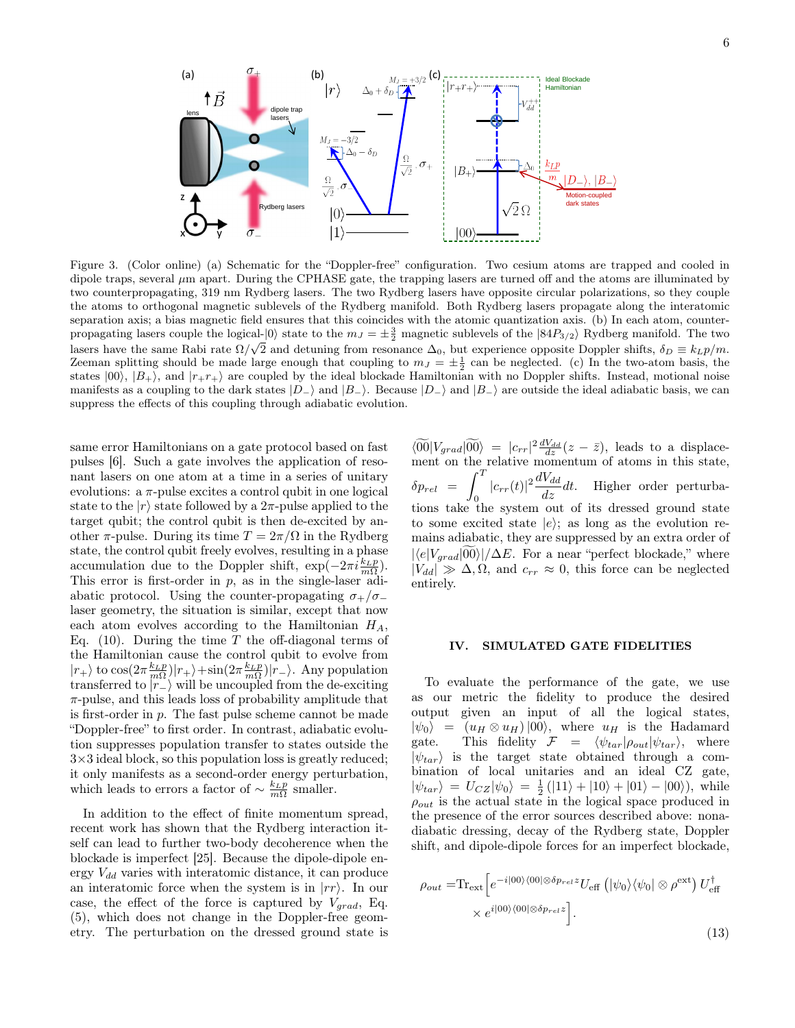

<span id="page-5-0"></span>Figure 3. (Color online) (a) Schematic for the "Doppler-free" configuration. Two cesium atoms are trapped and cooled in dipole traps, several  $\mu$ m apart. During the CPHASE gate, the trapping lasers are turned off and the atoms are illuminated by two counterpropagating, 319 nm Rydberg lasers. The two Rydberg lasers have opposite circular polarizations, so they couple the atoms to orthogonal magnetic sublevels of the Rydberg manifold. Both Rydberg lasers propagate along the interatomic separation axis; a bias magnetic field ensures that this coincides with the atomic quantization axis. (b) In each atom, counterpropagating lasers couple the logical- $|0\rangle$  state to the  $m_J = \pm \frac{3}{2}$  magnetic sublevels of the  $|84P_{3/2}\rangle$  Rydberg manifold. The two Lasers have the same Rabi rate  $\Omega/\sqrt{2}$  and detuning from resonance  $\Delta_0$ , but experience opposite Doppler shifts,  $\delta_D \equiv k_L p/m$ . Zeeman splitting should be made large enough that coupling to  $m_J = \pm \frac{1}{2}$  can be neglected. (c) In the two-atom basis, the states  $|00\rangle$ ,  $|B_{+}\rangle$ , and  $|r_+r_+\rangle$  are coupled by the ideal blockade Hamiltonian with no Doppler shifts. Instead, motional noise manifests as a coupling to the dark states  $|D_-\rangle$  and  $|B_-\rangle$ . Because  $|D_-\rangle$  and  $|B_-\rangle$  are outside the ideal adiabatic basis, we can suppress the effects of this coupling through adiabatic evolution.

same error Hamiltonians on a gate protocol based on fast pulses [\[6\]](#page-8-4). Such a gate involves the application of resonant lasers on one atom at a time in a series of unitary evolutions:  $a \pi$ -pulse excites a control qubit in one logical state to the  $|r\rangle$  state followed by a 2π-pulse applied to the target qubit; the control qubit is then de-excited by another  $\pi$ -pulse. During its time  $T = 2\pi/\Omega$  in the Rydberg state, the control qubit freely evolves, resulting in a phase accumulation due to the Doppler shift,  $\exp(-2\pi i \frac{k_L p}{m\Omega})$ . This error is first-order in  $p$ , as in the single-laser adiabatic protocol. Using the counter-propagating  $\sigma_{+}/\sigma_{-}$ laser geometry, the situation is similar, except that now each atom evolves according to the Hamiltonian  $H_A$ , Eq. [\(10\)](#page-4-1). During the time  $T$  the off-diagonal terms of the Hamiltonian cause the control qubit to evolve from  $|r_+\rangle$  to  $\cos(2\pi \frac{k_L p}{m\Omega})|r_+\rangle + \sin(2\pi \frac{k_L p}{m\Omega})|r_-\rangle$ . Any population transferred to  $\overline{|r_{-}\rangle}$  will be uncoupled from the de-exciting  $\pi$ -pulse, and this leads loss of probability amplitude that is first-order in  $p$ . The fast pulse scheme cannot be made "Doppler-free" to first order. In contrast, adiabatic evolution suppresses population transfer to states outside the  $3\times3$  ideal block, so this population loss is greatly reduced; it only manifests as a second-order energy perturbation, which leads to errors a factor of  $\sim \frac{k_L p}{m\Omega}$  smaller.

In addition to the effect of finite momentum spread, recent work has shown that the Rydberg interaction itself can lead to further two-body decoherence when the blockade is imperfect [\[25\]](#page-8-22). Because the dipole-dipole energy  $V_{dd}$  varies with interatomic distance, it can produce an interatomic force when the system is in  $|rr\rangle$ . In our case, the effect of the force is captured by  $V_{grad}$ , Eq. [\(5\)](#page-1-2), which does not change in the Doppler-free geometry. The perturbation on the dressed ground state is

 $\langle \widetilde{00}|V_{grad}|\widetilde{00}\rangle = |c_{rr}|^2 \frac{dV_{dd}}{dz}(z-\bar{z}),$  leads to a displacement on the relative momentum of atoms in this state,  $\delta p_{rel}$  =  $\int_{}^{T}$  $\int_{0}^{T} |c_{rr}(t)|^2 \frac{dV_{dd}}{dz} dt$ . Higher order perturbations take the system out of its dressed ground state to some excited state  $|e\rangle$ ; as long as the evolution remains adiabatic, they are suppressed by an extra order of  $|\langle e|V_{grad}|\widetilde{00}\rangle|/\Delta E$ . For a near "perfect blockade," where  $|V_{dd}| \gg \Delta$ ,  $\Omega$ , and  $c_{rr} \approx 0$ , this force can be neglected entirely.

#### IV. SIMULATED GATE FIDELITIES

To evaluate the performance of the gate, we use as our metric the fidelity to produce the desired output given an input of all the logical states,  $|\psi_0\rangle = (u_H \otimes u_H) |00\rangle$ , where  $u_H$  is the Hadamard gate. This fidelity  $\mathcal{F} = \langle \psi_{tar} | \rho_{out} | \psi_{tar} \rangle$ , where  $|\psi_{tar}\rangle$  is the target state obtained through a combination of local unitaries and an ideal CZ gate,  $|\psi_{tar}\rangle = U_{CZ}|\psi_0\rangle = \frac{1}{2}(|11\rangle + |10\rangle + |01\rangle - |00\rangle),$  while  $\rho_{out}$  is the actual state in the logical space produced in the presence of the error sources described above: nonadiabatic dressing, decay of the Rydberg state, Doppler shift, and dipole-dipole forces for an imperfect blockade,

$$
\rho_{out} = \text{Tr}_{\text{ext}} \left[ e^{-i|00\rangle\langle 00|\otimes \delta p_{rel} z} U_{\text{eff}} \left( |\psi_0\rangle\langle\psi_0| \otimes \rho^{\text{ext}} \right) U_{\text{eff}}^{\dagger} \right] \times e^{i|00\rangle\langle 00|\otimes \delta p_{rel} z} \right].
$$
\n(13)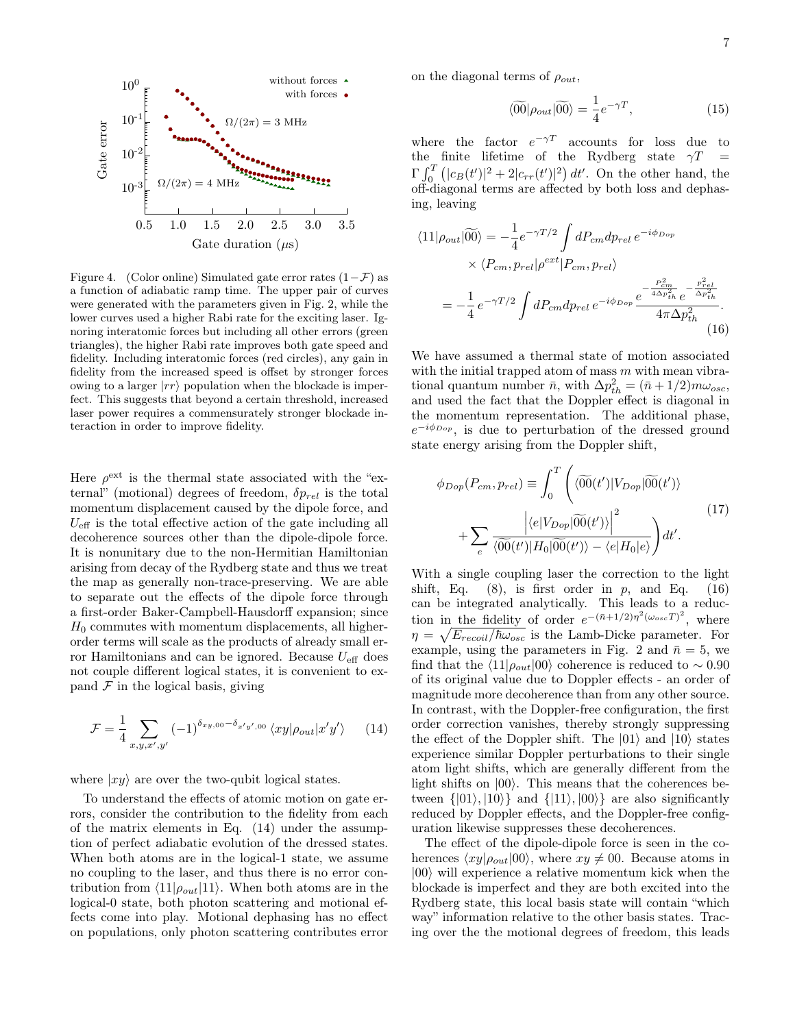

<span id="page-6-2"></span>Figure 4. (Color online) Simulated gate error rates  $(1-\mathcal{F})$  as a function of adiabatic ramp time. The upper pair of curves were generated with the parameters given in Fig. [2,](#page-3-0) while the lower curves used a higher Rabi rate for the exciting laser. Ignoring interatomic forces but including all other errors (green triangles), the higher Rabi rate improves both gate speed and fidelity. Including interatomic forces (red circles), any gain in fidelity from the increased speed is offset by stronger forces owing to a larger  $|rr\rangle$  population when the blockade is imperfect. This suggests that beyond a certain threshold, increased laser power requires a commensurately stronger blockade interaction in order to improve fidelity.

Here  $\rho^{\text{ext}}$  is the thermal state associated with the "external" (motional) degrees of freedom,  $\delta p_{rel}$  is the total momentum displacement caused by the dipole force, and  $U_{\text{eff}}$  is the total effective action of the gate including all decoherence sources other than the dipole-dipole force. It is nonunitary due to the non-Hermitian Hamiltonian arising from decay of the Rydberg state and thus we treat the map as generally non-trace-preserving. We are able to separate out the effects of the dipole force through a first-order Baker-Campbell-Hausdorff expansion; since  $H_0$  commutes with momentum displacements, all higherorder terms will scale as the products of already small error Hamiltonians and can be ignored. Because  $U_{\text{eff}}$  does not couple different logical states, it is convenient to expand  $\mathcal F$  in the logical basis, giving

<span id="page-6-0"></span>
$$
\mathcal{F} = \frac{1}{4} \sum_{x,y,x',y'} (-1)^{\delta_{xy,00} - \delta_{x'y',00}} \langle xy | \rho_{out} | x'y' \rangle \qquad (14)
$$

where  $|xy\rangle$  are over the two-qubit logical states.

To understand the effects of atomic motion on gate errors, consider the contribution to the fidelity from each of the matrix elements in Eq. [\(14\)](#page-6-0) under the assumption of perfect adiabatic evolution of the dressed states. When both atoms are in the logical-1 state, we assume no coupling to the laser, and thus there is no error contribution from  $\langle 11|\rho_{out}|11\rangle$ . When both atoms are in the logical-0 state, both photon scattering and motional effects come into play. Motional dephasing has no effect on populations, only photon scattering contributes error on the diagonal terms of  $\rho_{out}$ ,

$$
\langle \widetilde{00} | \rho_{out} | \widetilde{00} \rangle = \frac{1}{4} e^{-\gamma T}, \qquad (15)
$$

where the factor  $e^{-\gamma T}$  accounts for loss due to the finite lifetime of the Rydberg state  $\gamma T =$  $\Gamma \int_0^T (|c_B(t')|^2 + 2|c_{rr}(t')|^2) dt'$ . On the other hand, the off-diagonal terms are affected by both loss and dephasing, leaving

<span id="page-6-1"></span>
$$
\langle 11|\rho_{out}|\widetilde{00}\rangle = -\frac{1}{4}e^{-\gamma T/2}\int dP_{cm}dp_{rel} \, e^{-i\phi_{Dop}}
$$

$$
\times \langle P_{cm}, p_{rel}|\rho^{ext}|P_{cm}, p_{rel}\rangle
$$

$$
= -\frac{1}{4}e^{-\gamma T/2}\int dP_{cm}dp_{rel} \, e^{-i\phi_{Dop}}\frac{e^{-\frac{P_{cm}^2}{4\Delta p_{th}^2}}e^{-\frac{p_{rel}^2}{\Delta p_{th}^2}}}{4\pi\Delta p_{th}^2}.
$$
(16)

We have assumed a thermal state of motion associated with the initial trapped atom of mass  $m$  with mean vibrational quantum number  $\bar{n}$ , with  $\Delta p_{th}^2 = (\bar{n} + 1/2)m\omega_{osc}$ , and used the fact that the Doppler effect is diagonal in the momentum representation. The additional phase,  $e^{-i\phi_{Dop}}$ , is due to perturbation of the dressed ground state energy arising from the Doppler shift,

$$
\phi_{Dop}(P_{cm}, p_{rel}) \equiv \int_0^T \left( \langle 0 \widetilde{0}(t') | V_{Dop} | 0 \widetilde{0}(t') \rangle \right. \\
\left. + \sum_e \frac{\left| \langle e | V_{Dop} | 0 \widetilde{0}(t') \rangle \right|^2}{\langle 0 \widetilde{0}(t') | H_0 | 0 \widetilde{0}(t') \rangle - \langle e | H_0 | e \rangle} \right) dt'.
$$
\n(17)

With a single coupling laser the correction to the light shift, Eq.  $(8)$ , is first order in p, and Eq.  $(16)$ can be integrated analytically. This leads to a reduction in the fidelity of order  $e^{-(\bar{n}+1/2)\eta^2(\omega_{osc}T)^2}$ , where  $\eta = \sqrt{E_{recoil}/\hbar \omega_{osc}}$  is the Lamb-Dicke parameter. For example, using the parameters in Fig. [2](#page-3-0) and  $\bar{n} = 5$ , we find that the  $\langle 11|\rho_{out}|00\rangle$  coherence is reduced to ~ 0.90 of its original value due to Doppler effects - an order of magnitude more decoherence than from any other source. In contrast, with the Doppler-free configuration, the first order correction vanishes, thereby strongly suppressing the effect of the Doppler shift. The  $|01\rangle$  and  $|10\rangle$  states experience similar Doppler perturbations to their single atom light shifts, which are generally different from the light shifts on  $|00\rangle$ . This means that the coherences between  $\{|01\rangle, |10\rangle\}$  and  $\{|11\rangle, |00\rangle\}$  are also significantly reduced by Doppler effects, and the Doppler-free configuration likewise suppresses these decoherences.

The effect of the dipole-dipole force is seen in the coherences  $\langle xy|\rho_{out}|00\rangle$ , where  $xy \neq 00$ . Because atoms in  $|00\rangle$  will experience a relative momentum kick when the blockade is imperfect and they are both excited into the Rydberg state, this local basis state will contain "which way" information relative to the other basis states. Tracing over the the motional degrees of freedom, this leads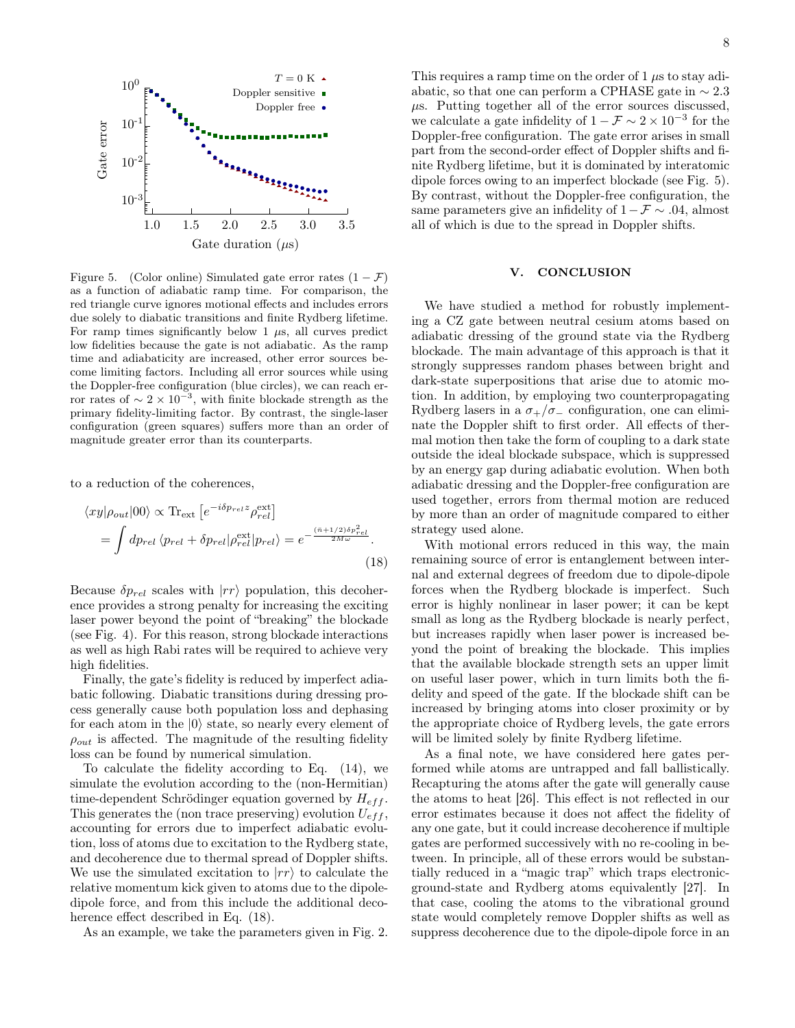

<span id="page-7-1"></span>Figure 5. (Color online) Simulated gate error rates  $(1 - \mathcal{F})$ as a function of adiabatic ramp time. For comparison, the red triangle curve ignores motional effects and includes errors due solely to diabatic transitions and finite Rydberg lifetime. For ramp times significantly below 1  $\mu$ s, all curves predict low fidelities because the gate is not adiabatic. As the ramp time and adiabaticity are increased, other error sources become limiting factors. Including all error sources while using the Doppler-free configuration (blue circles), we can reach error rates of  $\sim 2 \times 10^{-3}$ , with finite blockade strength as the primary fidelity-limiting factor. By contrast, the single-laser configuration (green squares) suffers more than an order of magnitude greater error than its counterparts.

to a reduction of the coherences,

<span id="page-7-0"></span>
$$
\langle xy|\rho_{out}|00\rangle \propto \text{Tr}_{\text{ext}}\left[e^{-i\delta p_{rel}z}\rho_{rel}^{\text{ext}}\right]
$$

$$
= \int dp_{rel}\langle p_{rel} + \delta p_{rel}|\rho_{rel}^{\text{ext}}|p_{rel}\rangle = e^{-\frac{(\bar{n}+1/2)\delta p_{rel}^2}{2M\omega}}.
$$
(18)

Because  $\delta p_{rel}$  scales with  $|rr\rangle$  population, this decoherence provides a strong penalty for increasing the exciting laser power beyond the point of "breaking" the blockade (see Fig. [4\)](#page-6-2). For this reason, strong blockade interactions as well as high Rabi rates will be required to achieve very high fidelities.

Finally, the gate's fidelity is reduced by imperfect adiabatic following. Diabatic transitions during dressing process generally cause both population loss and dephasing for each atom in the  $|0\rangle$  state, so nearly every element of  $\rho_{out}$  is affected. The magnitude of the resulting fidelity loss can be found by numerical simulation.

To calculate the fidelity according to Eq. [\(14\)](#page-6-0), we simulate the evolution according to the (non-Hermitian) time-dependent Schrödinger equation governed by  $H_{eff}$ . This generates the (non trace preserving) evolution  $U_{eff}$ , accounting for errors due to imperfect adiabatic evolution, loss of atoms due to excitation to the Rydberg state, and decoherence due to thermal spread of Doppler shifts. We use the simulated excitation to  $\ket{rr}$  to calculate the relative momentum kick given to atoms due to the dipoledipole force, and from this include the additional decoherence effect described in Eq. [\(18\)](#page-7-0).

As an example, we take the parameters given in Fig. [2.](#page-3-0)

This requires a ramp time on the order of  $1 \mu s$  to stay adiabatic, so that one can perform a CPHASE gate in  $\sim 2.3$  $\mu$ s. Putting together all of the error sources discussed, we calculate a gate infidelity of  $1 - \mathcal{F} \sim 2 \times 10^{-3}$  for the Doppler-free configuration. The gate error arises in small part from the second-order effect of Doppler shifts and finite Rydberg lifetime, but it is dominated by interatomic dipole forces owing to an imperfect blockade (see Fig. [5\)](#page-7-1). By contrast, without the Doppler-free configuration, the same parameters give an infidelity of  $1-F \sim .04$ , almost all of which is due to the spread in Doppler shifts.

## V. CONCLUSION

We have studied a method for robustly implementing a CZ gate between neutral cesium atoms based on adiabatic dressing of the ground state via the Rydberg blockade. The main advantage of this approach is that it strongly suppresses random phases between bright and dark-state superpositions that arise due to atomic motion. In addition, by employing two counterpropagating Rydberg lasers in a  $\sigma_{+}/\sigma_{-}$  configuration, one can eliminate the Doppler shift to first order. All effects of thermal motion then take the form of coupling to a dark state outside the ideal blockade subspace, which is suppressed by an energy gap during adiabatic evolution. When both adiabatic dressing and the Doppler-free configuration are used together, errors from thermal motion are reduced by more than an order of magnitude compared to either strategy used alone.

With motional errors reduced in this way, the main remaining source of error is entanglement between internal and external degrees of freedom due to dipole-dipole forces when the Rydberg blockade is imperfect. Such error is highly nonlinear in laser power; it can be kept small as long as the Rydberg blockade is nearly perfect, but increases rapidly when laser power is increased beyond the point of breaking the blockade. This implies that the available blockade strength sets an upper limit on useful laser power, which in turn limits both the fidelity and speed of the gate. If the blockade shift can be increased by bringing atoms into closer proximity or by the appropriate choice of Rydberg levels, the gate errors will be limited solely by finite Rydberg lifetime.

As a final note, we have considered here gates performed while atoms are untrapped and fall ballistically. Recapturing the atoms after the gate will generally cause the atoms to heat [\[26\]](#page-8-23). This effect is not reflected in our error estimates because it does not affect the fidelity of any one gate, but it could increase decoherence if multiple gates are performed successively with no re-cooling in between. In principle, all of these errors would be substantially reduced in a "magic trap" which traps electronicground-state and Rydberg atoms equivalently [\[27\]](#page-8-24). In that case, cooling the atoms to the vibrational ground state would completely remove Doppler shifts as well as suppress decoherence due to the dipole-dipole force in an